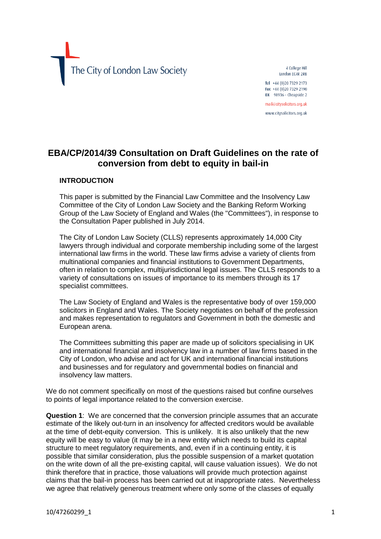The City of London Law Society

4 College Hill London EC4R 2RB Tel +44 (0)20 7329 2173 Fax +44 (0) 20 7329 2190

DX 98936 - Cheapside 2 mail@citysolicitors.org.uk

www.citysolicitors.org.uk

## **EBA/CP/2014/39 Consultation on Draft Guidelines on the rate of conversion from debt to equity in bail-in**

## **INTRODUCTION**

This paper is submitted by the Financial Law Committee and the Insolvency Law Committee of the City of London Law Society and the Banking Reform Working Group of the Law Society of England and Wales (the "Committees"), in response to the Consultation Paper published in July 2014.

The City of London Law Society (CLLS) represents approximately 14,000 City lawyers through individual and corporate membership including some of the largest international law firms in the world. These law firms advise a variety of clients from multinational companies and financial institutions to Government Departments, often in relation to complex, multijurisdictional legal issues. The CLLS responds to a variety of consultations on issues of importance to its members through its 17 specialist committees.

The Law Society of England and Wales is the representative body of over 159,000 solicitors in England and Wales. The Society negotiates on behalf of the profession and makes representation to regulators and Government in both the domestic and European arena.

The Committees submitting this paper are made up of solicitors specialising in UK and international financial and insolvency law in a number of law firms based in the City of London, who advise and act for UK and international financial institutions and businesses and for regulatory and governmental bodies on financial and insolvency law matters.

We do not comment specifically on most of the questions raised but confine ourselves to points of legal importance related to the conversion exercise.

**Question 1**: We are concerned that the conversion principle assumes that an accurate estimate of the likely out-turn in an insolvency for affected creditors would be available at the time of debt-equity conversion. This is unlikely. It is also unlikely that the new equity will be easy to value (it may be in a new entity which needs to build its capital structure to meet regulatory requirements, and, even if in a continuing entity, it is possible that similar consideration, plus the possible suspension of a market quotation on the write down of all the pre-existing capital, will cause valuation issues). We do not think therefore that in practice, those valuations will provide much protection against claims that the bail-in process has been carried out at inappropriate rates. Nevertheless we agree that relatively generous treatment where only some of the classes of equally